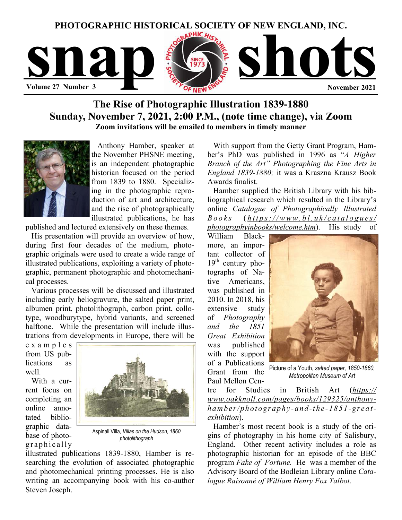

# **The Rise of Photographic Illustration 1839-1880 Sunday, November 7, 2021, 2:00 P.M., (note time change), via Zoom Zoom invitations will be emailed to members in timely manner**



 Anthony Hamber, speaker at the November PHSNE meeting, is an independent photographic historian focused on the period from 1839 to 1880. Specializing in the photographic reproduction of art and architecture, and the rise of photographically illustrated publications, he has

published and lectured extensively on these themes.

 His presentation will provide an overview of how, during first four decades of the medium, photographic originals were used to create a wide range of illustrated publications, exploiting a variety of photographic, permanent photographic and photomechanical processes.

 Various processes will be discussed and illustrated including early heliogravure, the salted paper print, albumen print, photolithograph, carbon print, collotype, woodburytype, hybrid variants, and screened halftone. While the presentation will include illustrations from developments in Europe, there will be

e x a m p l e s from US publications as well.

 With a current focus on completing an online annotated bibliographic database of photographically



Aspinall Villa*, Villas on the Hudson, 1860 photolithograph* 

illustrated publications 1839-1880, Hamber is researching the evolution of associated photographic and photomechanical printing processes. He is also writing an accompanying book with his co-author Steven Joseph.

 With support from the Getty Grant Program, Hamber's PhD was published in 1996 as "*A Higher Branch of the Art" Photographing the Fine Arts in England 1839-1880;* it was a Kraszna Krausz Book Awards finalist.

 Hamber supplied the British Library with his bibliographical research which resulted in the Library's online *Catalogue of Photographically Illustrated Books* ( *[https://www.bl.uk/catalogues/](https://www.bl.uk/catalogues/photographyinbooks/welcome.htm) [photographyinbooks/welcome.htm](https://www.bl.uk/catalogues/photographyinbooks/welcome.htm)*). His study of

William Blackmore, an important collector of  $19<sup>th</sup>$  century photographs of Native Americans, was published in 2010. In 2018, his extensive study of *Photography and the 1851 Great Exhibition*  was published with the support of a Publications Grant from the Paul Mellon Cen-



Picture of a Youth, *salted paper, 1850-1860, Metropolitan Museum of Art* 

tre for Studies in British Art (*[https://](https://www.oakknoll.com/pages/books/129325/anthony-hamber/photography-and-the-1851-great-exhibition) [www.oakknoll.com/pages/books/129325/anthony](https://www.oakknoll.com/pages/books/129325/anthony-hamber/photography-and-the-1851-great-exhibition)[hamber/photography-and-the-1851-great](https://www.oakknoll.com/pages/books/129325/anthony-hamber/photography-and-the-1851-great-exhibition)[exhibition](https://www.oakknoll.com/pages/books/129325/anthony-hamber/photography-and-the-1851-great-exhibition)*).

Hamber's most recent book is a study of the origins of photography in his home city of Salisbury, England. Other recent activity includes a role as photographic historian for an episode of the BBC program *Fake of Fortune.* He was a member of the Advisory Board of the Bodleian Library online *Catalogue Raisonné of William Henry Fox Talbot.*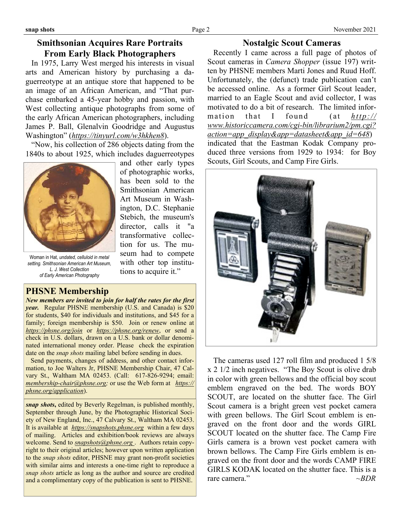## **Smithsonian Acquires Rare Portraits From Early Black Photographers**

 In 1975, Larry West merged his interests in visual arts and American history by purchasing a daguerreotype at an antique store that happened to be an image of an African American, and "That purchase embarked a 45-year hobby and passion, with West collecting antique photographs from some of the early African American photographers, including James P. Ball, Glenalvin Goodridge and Augustus Washington" (*<https://tinyurl.com/w3hkhen8>*).

 "Now, his collection of 286 objects dating from the 1840s to about 1925, which includes daguerreotypes

> and other early types of photographic works, has been sold to the Smithsonian American Art Museum in Washington, D.C. Stephanie Stebich, the museum's director, calls it "a transformative collection for us. The museum had to compete with other top institutions to acquire it."



Woman in Hat, *undated, celluloid in metal setting. Smithsonian American Art Museum, L. J. West Collection of Early American Photography* 

# **PHSNE Membership**

*New members are invited to join for half the rates for the first year.* Regular PHSNE membership (U.S. and Canada) is \$20 for students, \$40 for individuals and institutions, and \$45 for a family; foreign membership is \$50. Join or renew online at *<https://phsne.org/join>* or *<https://phsne.org/renew>*, or send a check in U.S. dollars, drawn on a U.S. bank or dollar denominated international money order. Please check the expiration date on the *snap shots* mailing label before sending in dues.

 Send payments, changes of address, and other contact information, to Joe Walters Jr, PHSNE Membership Chair, 47 Calvary St., Waltham MA 02453. (Call: 617-826-9294; email: *[membership-chair@phsne.org](mailto:%20membership-chair@phsne.org);* or use the Web form at *[https://](https://phsne.org/application) [phsne.org/application](https://phsne.org/application)*).

*snap shots***,** edited by Beverly Regelman, is published monthly, September through June, by the Photographic Historical Society of New England, Inc., 47 Calvary St., Waltham MA 02453. It is available at *<https://snapshots.phsne.org>* within a few days of mailing. Articles and exhibition/book reviews are always welcome. Send to *[snapshots@phsne.org](mailto:snapshots@phsne.org)* . Authors retain copyright to their original articles; however upon written application to the *snap shots* editor, PHSNE may grant non-profit societies with similar aims and interests a one-time right to reproduce a *snap shots* article as long as the author and source are credited and a complimentary copy of the publication is sent to PHSNE.

## **Nostalgic Scout Cameras**

 Recently I came across a full page of photos of Scout cameras in *Camera Shopper* (issue 197) written by PHSNE members Marti Jones and Ruud Hoff. Unfortunately, the (defunct) trade publication can't be accessed online. As a former Girl Scout leader, married to an Eagle Scout and avid collector, I was motivated to do a bit of research. The limited information that I found (at *[http://](http://www.historiccamera.com/cgi-bin/librarium2/pm.cgi?action=app_display&app=datasheet&app_id=648) [www.historiccamera.com/cgi-bin/librarium2/pm.cgi?](http://www.historiccamera.com/cgi-bin/librarium2/pm.cgi?action=app_display&app=datasheet&app_id=648) [action=app\\_display&app=datasheet&app\\_id=648](http://www.historiccamera.com/cgi-bin/librarium2/pm.cgi?action=app_display&app=datasheet&app_id=648)*) indicated that the Eastman Kodak Company produced three versions from 1929 to 1934: for Boy Scouts, Girl Scouts, and Camp Fire Girls.



 The cameras used 127 roll film and produced 1 5/8 x 2 1/2 inch negatives. "The Boy Scout is olive drab in color with green bellows and the official boy scout emblem engraved on the bed. The words BOY SCOUT, are located on the shutter face. The Girl Scout camera is a bright green vest pocket camera with green bellows. The Girl Scout emblem is engraved on the front door and the words GIRL SCOUT located on the shutter face. The Camp Fire Girls camera is a brown vest pocket camera with brown bellows. The Camp Fire Girls emblem is engraved on the front door and the words CAMP FIRE GIRLS KODAK located on the shutter face. This is a rare camera."  $\sim$ *BDR*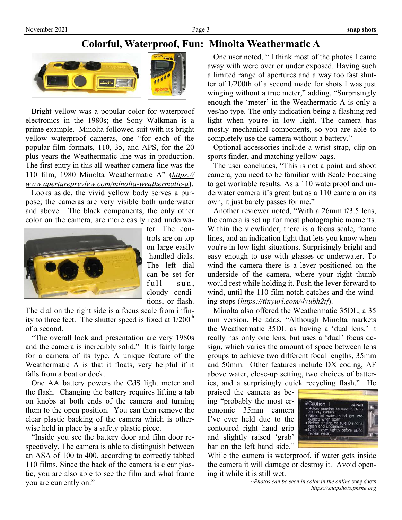# **Colorful, Waterproof, Fun: Minolta Weathermatic A**



 Bright yellow was a popular color for waterproof electronics in the 1980s; the Sony Walkman is a prime example. Minolta followed suit with its bright yellow waterproof cameras, one "for each of the popular film formats, 110, 35, and APS, for the 20 plus years the Weathermatic line was in production. The first entry in this all-weather camera line was the 110 film, 1980 Minolta Weathermatic A" (*[https://](https://www.aperturepreview.com/minolta-weathermatic-a) [www.aperturepreview.com/minolta-weathermatic-a](https://www.aperturepreview.com/minolta-weathermatic-a)*).

 Looks aside, the vivid yellow body serves a purpose; the cameras are very visible both underwater and above. The black components, the only other color on the camera, are more easily read underwa-



ter. The controls are on top on large easily -handled dials. The left dial can be set for  $full$  sun, cloudy conditions, or flash.

The dial on the right side is a focus scale from infinity to three feet. The shutter speed is fixed at  $1/200<sup>th</sup>$ of a second.

 "The overall look and presentation are very 1980s and the camera is incredibly solid." It is fairly large for a camera of its type. A unique feature of the Weathermatic A is that it floats, very helpful if it falls from a boat or dock.

 One AA battery powers the CdS light meter and the flash. Changing the battery requires lifting a tab on knobs at both ends of the camera and turning them to the open position. You can then remove the clear plastic backing of the camera which is otherwise held in place by a safety plastic piece.

 "Inside you see the battery door and film door respectively. The camera is able to distinguish between an ASA of 100 to 400, according to correctly tabbed 110 films. Since the back of the camera is clear plastic, you are also able to see the film and what frame you are currently on."

 One user noted, " I think most of the photos I came away with were over or under exposed. Having such a limited range of apertures and a way too fast shutter of 1/200th of a second made for shots I was just winging without a true meter," adding, "Surprisingly enough the 'meter' in the Weathermatic A is only a yes/no type. The only indication being a flashing red light when you're in low light. The camera has mostly mechanical components, so you are able to completely use the camera without a battery."

 Optional accessories include a wrist strap, clip on sports finder, and matching yellow bags.

 The user concludes, "This is not a point and shoot camera, you need to be familiar with Scale Focusing to get workable results. As a 110 waterproof and underwater camera it's great but as a 110 camera on its own, it just barely passes for me."

 Another reviewer noted, "With a 26mm f/3.5 lens, the camera is set up for most photographic moments. Within the viewfinder, there is a focus scale, frame lines, and an indication light that lets you know when you're in low light situations. Surprisingly bright and easy enough to use with glasses or underwater. To wind the camera there is a lever positioned on the underside of the camera, where your right thumb would rest while holding it. Push the lever forward to wind, until the 110 film notch catches and the winding stops (*<https://tinyurl.com/4vubh2tf>*).

 Minolta also offered the Weathermatic 35DL, a 35 mm version. He adds, "Although Minolta markets the Weathermatic 35DL as having a 'dual lens,' it really has only one lens, but uses a 'dual' focus design, which varies the amount of space between lens groups to achieve two different focal lengths, 35mm and 50mm. Other features include DX coding, AF above water, close-up setting, two choices of batteries, and a surprisingly quick recycling flash." He

praised the camera as being "probably the most ergonomic 35mm camera I've ever held due to the contoured right hand grip and slightly raised 'grab' bar on the left hand side."



While the camera is waterproof, if water gets inside the camera it will damage or destroy it. Avoid opening it while it is still wet.